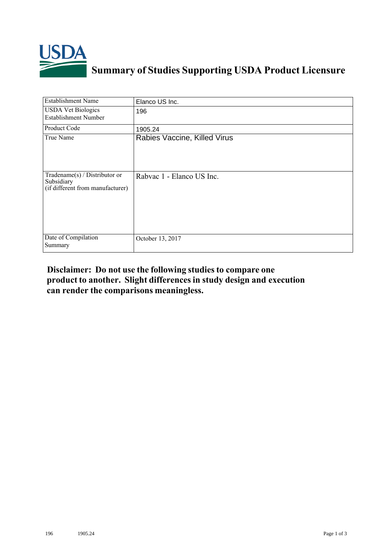

## **Summary of Studies Supporting USDA Product Licensure**

| <b>Establishment Name</b>                                                          | Elanco US Inc.               |
|------------------------------------------------------------------------------------|------------------------------|
| <b>USDA Vet Biologics</b><br><b>Establishment Number</b>                           | 196                          |
| Product Code                                                                       | 1905.24                      |
| True Name                                                                          | Rabies Vaccine, Killed Virus |
| Tradename $(s)$ / Distributor or<br>Subsidiary<br>(if different from manufacturer) | Rabvac 1 - Elanco US Inc.    |
| Date of Compilation<br>Summary                                                     | October 13, 2017             |

## **Disclaimer: Do not use the following studiesto compare one product to another. Slight differencesin study design and execution can render the comparisons meaningless.**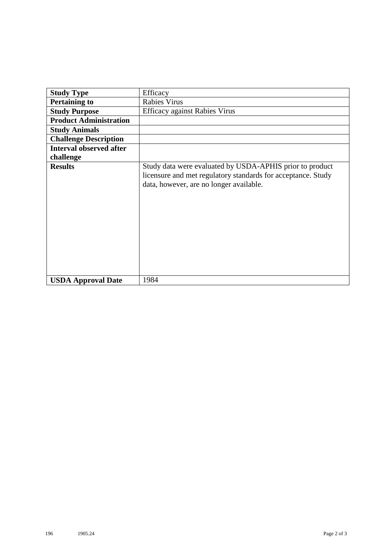| <b>Study Type</b>              | Efficacy                                                                                                                                                            |
|--------------------------------|---------------------------------------------------------------------------------------------------------------------------------------------------------------------|
| <b>Pertaining to</b>           | <b>Rabies Virus</b>                                                                                                                                                 |
| <b>Study Purpose</b>           | <b>Efficacy against Rabies Virus</b>                                                                                                                                |
| <b>Product Administration</b>  |                                                                                                                                                                     |
| <b>Study Animals</b>           |                                                                                                                                                                     |
| <b>Challenge Description</b>   |                                                                                                                                                                     |
| <b>Interval observed after</b> |                                                                                                                                                                     |
| challenge                      |                                                                                                                                                                     |
| <b>Results</b>                 | Study data were evaluated by USDA-APHIS prior to product<br>licensure and met regulatory standards for acceptance. Study<br>data, however, are no longer available. |
| <b>USDA Approval Date</b>      | 1984                                                                                                                                                                |